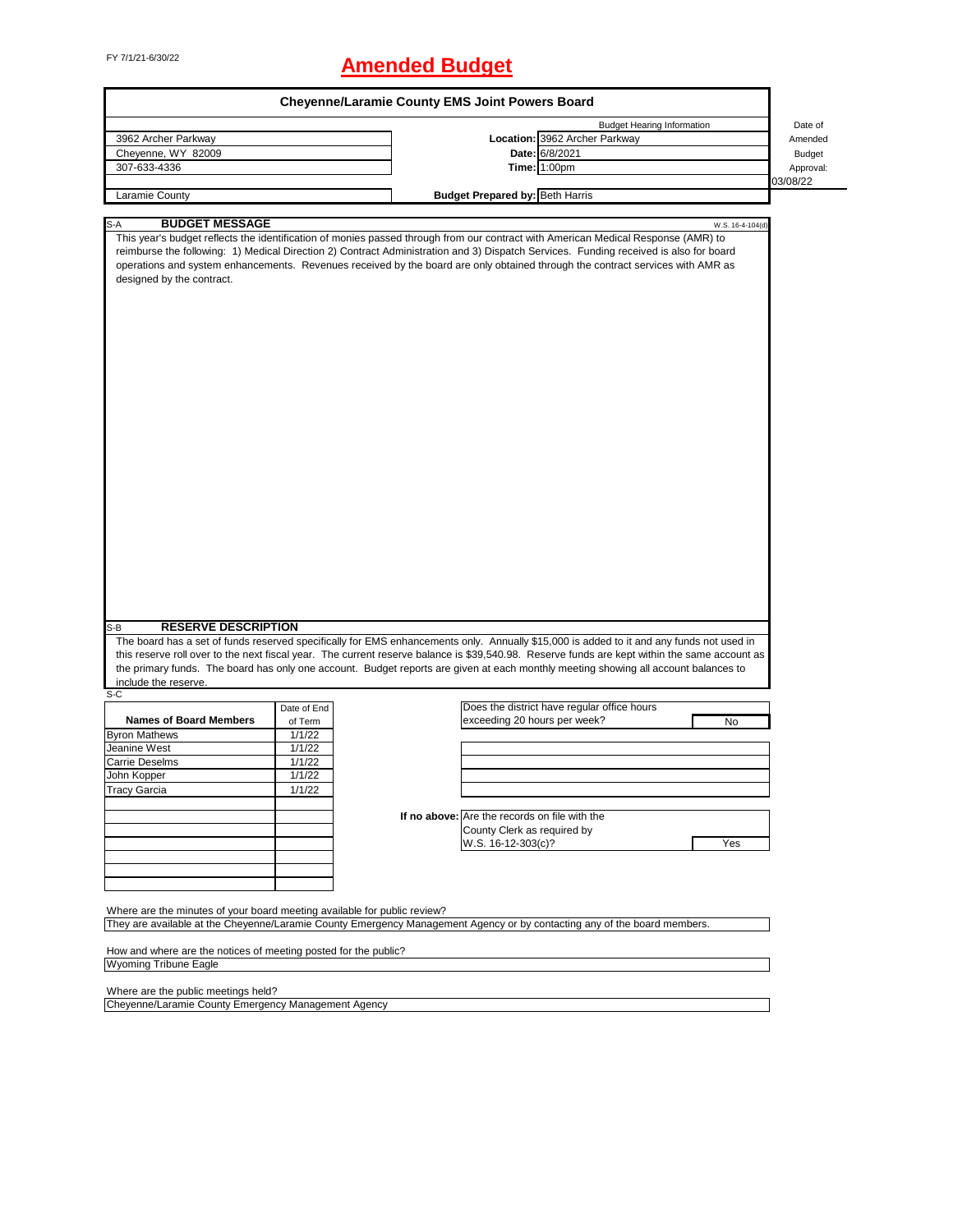# FY 7/1/21-6/30/22 **Amended Budget**

| <b>Budget Hearing Information</b><br>Date of<br>Location: 3962 Archer Parkway<br>3962 Archer Parkway<br>Amended<br>Date: 6/8/2021<br>Cheyenne, WY 82009<br><b>Budget</b><br>Time: 1:00pm<br>307-633-4336<br>Approval:<br>03/08/22<br><b>Budget Prepared by: Beth Harris</b><br>Laramie County<br><b>BUDGET MESSAGE</b><br>S-A<br>W.S. 16-4-104(d)<br>This year's budget reflects the identification of monies passed through from our contract with American Medical Response (AMR) to<br>reimburse the following: 1) Medical Direction 2) Contract Administration and 3) Dispatch Services. Funding received is also for board<br>operations and system enhancements. Revenues received by the board are only obtained through the contract services with AMR as<br>designed by the contract.<br><b>RESERVE DESCRIPTION</b><br>$S-B$<br>The board has a set of funds reserved specifically for EMS enhancements only. Annually \$15,000 is added to it and any funds not used in<br>this reserve roll over to the next fiscal year. The current reserve balance is \$39,540.98. Reserve funds are kept within the same account as<br>the primary funds. The board has only one account. Budget reports are given at each monthly meeting showing all account balances to<br>include the reserve.<br>$S-C$<br>Does the district have regular office hours<br>Date of End<br><b>Names of Board Members</b><br>exceeding 20 hours per week?<br>of Term<br>No<br><b>Byron Mathews</b><br>1/1/22<br>Jeanine West<br>1/1/22<br>1/1/22<br><b>Carrie Deselms</b><br>1/1/22<br>John Kopper<br><b>Tracy Garcia</b><br>1/1/22<br>If no above: Are the records on file with the<br>County Clerk as required by<br>W.S. 16-12-303(c)?<br>Yes<br>Where are the minutes of your board meeting available for public review?<br>They are available at the Cheyenne/Laramie County Emergency Management Agency or by contacting any of the board members.<br>How and where are the notices of meeting posted for the public?<br><b>Wyoming Tribune Eagle</b><br>Where are the public meetings held?<br>Cheyenne/Laramie County Emergency Management Agency |  | <b>Cheyenne/Laramie County EMS Joint Powers Board</b> |  |
|-------------------------------------------------------------------------------------------------------------------------------------------------------------------------------------------------------------------------------------------------------------------------------------------------------------------------------------------------------------------------------------------------------------------------------------------------------------------------------------------------------------------------------------------------------------------------------------------------------------------------------------------------------------------------------------------------------------------------------------------------------------------------------------------------------------------------------------------------------------------------------------------------------------------------------------------------------------------------------------------------------------------------------------------------------------------------------------------------------------------------------------------------------------------------------------------------------------------------------------------------------------------------------------------------------------------------------------------------------------------------------------------------------------------------------------------------------------------------------------------------------------------------------------------------------------------------------------------------------------------------------------------------------------------------------------------------------------------------------------------------------------------------------------------------------------------------------------------------------------------------------------------------------------------------------------------------------------------------------------------------------------------------------------------------------------------------------------------------------------------------------------------|--|-------------------------------------------------------|--|
|                                                                                                                                                                                                                                                                                                                                                                                                                                                                                                                                                                                                                                                                                                                                                                                                                                                                                                                                                                                                                                                                                                                                                                                                                                                                                                                                                                                                                                                                                                                                                                                                                                                                                                                                                                                                                                                                                                                                                                                                                                                                                                                                           |  |                                                       |  |
|                                                                                                                                                                                                                                                                                                                                                                                                                                                                                                                                                                                                                                                                                                                                                                                                                                                                                                                                                                                                                                                                                                                                                                                                                                                                                                                                                                                                                                                                                                                                                                                                                                                                                                                                                                                                                                                                                                                                                                                                                                                                                                                                           |  |                                                       |  |
|                                                                                                                                                                                                                                                                                                                                                                                                                                                                                                                                                                                                                                                                                                                                                                                                                                                                                                                                                                                                                                                                                                                                                                                                                                                                                                                                                                                                                                                                                                                                                                                                                                                                                                                                                                                                                                                                                                                                                                                                                                                                                                                                           |  |                                                       |  |
|                                                                                                                                                                                                                                                                                                                                                                                                                                                                                                                                                                                                                                                                                                                                                                                                                                                                                                                                                                                                                                                                                                                                                                                                                                                                                                                                                                                                                                                                                                                                                                                                                                                                                                                                                                                                                                                                                                                                                                                                                                                                                                                                           |  |                                                       |  |
|                                                                                                                                                                                                                                                                                                                                                                                                                                                                                                                                                                                                                                                                                                                                                                                                                                                                                                                                                                                                                                                                                                                                                                                                                                                                                                                                                                                                                                                                                                                                                                                                                                                                                                                                                                                                                                                                                                                                                                                                                                                                                                                                           |  |                                                       |  |
|                                                                                                                                                                                                                                                                                                                                                                                                                                                                                                                                                                                                                                                                                                                                                                                                                                                                                                                                                                                                                                                                                                                                                                                                                                                                                                                                                                                                                                                                                                                                                                                                                                                                                                                                                                                                                                                                                                                                                                                                                                                                                                                                           |  |                                                       |  |
|                                                                                                                                                                                                                                                                                                                                                                                                                                                                                                                                                                                                                                                                                                                                                                                                                                                                                                                                                                                                                                                                                                                                                                                                                                                                                                                                                                                                                                                                                                                                                                                                                                                                                                                                                                                                                                                                                                                                                                                                                                                                                                                                           |  |                                                       |  |
|                                                                                                                                                                                                                                                                                                                                                                                                                                                                                                                                                                                                                                                                                                                                                                                                                                                                                                                                                                                                                                                                                                                                                                                                                                                                                                                                                                                                                                                                                                                                                                                                                                                                                                                                                                                                                                                                                                                                                                                                                                                                                                                                           |  |                                                       |  |
|                                                                                                                                                                                                                                                                                                                                                                                                                                                                                                                                                                                                                                                                                                                                                                                                                                                                                                                                                                                                                                                                                                                                                                                                                                                                                                                                                                                                                                                                                                                                                                                                                                                                                                                                                                                                                                                                                                                                                                                                                                                                                                                                           |  |                                                       |  |
|                                                                                                                                                                                                                                                                                                                                                                                                                                                                                                                                                                                                                                                                                                                                                                                                                                                                                                                                                                                                                                                                                                                                                                                                                                                                                                                                                                                                                                                                                                                                                                                                                                                                                                                                                                                                                                                                                                                                                                                                                                                                                                                                           |  |                                                       |  |
|                                                                                                                                                                                                                                                                                                                                                                                                                                                                                                                                                                                                                                                                                                                                                                                                                                                                                                                                                                                                                                                                                                                                                                                                                                                                                                                                                                                                                                                                                                                                                                                                                                                                                                                                                                                                                                                                                                                                                                                                                                                                                                                                           |  |                                                       |  |
|                                                                                                                                                                                                                                                                                                                                                                                                                                                                                                                                                                                                                                                                                                                                                                                                                                                                                                                                                                                                                                                                                                                                                                                                                                                                                                                                                                                                                                                                                                                                                                                                                                                                                                                                                                                                                                                                                                                                                                                                                                                                                                                                           |  |                                                       |  |
|                                                                                                                                                                                                                                                                                                                                                                                                                                                                                                                                                                                                                                                                                                                                                                                                                                                                                                                                                                                                                                                                                                                                                                                                                                                                                                                                                                                                                                                                                                                                                                                                                                                                                                                                                                                                                                                                                                                                                                                                                                                                                                                                           |  |                                                       |  |
|                                                                                                                                                                                                                                                                                                                                                                                                                                                                                                                                                                                                                                                                                                                                                                                                                                                                                                                                                                                                                                                                                                                                                                                                                                                                                                                                                                                                                                                                                                                                                                                                                                                                                                                                                                                                                                                                                                                                                                                                                                                                                                                                           |  |                                                       |  |
|                                                                                                                                                                                                                                                                                                                                                                                                                                                                                                                                                                                                                                                                                                                                                                                                                                                                                                                                                                                                                                                                                                                                                                                                                                                                                                                                                                                                                                                                                                                                                                                                                                                                                                                                                                                                                                                                                                                                                                                                                                                                                                                                           |  |                                                       |  |
|                                                                                                                                                                                                                                                                                                                                                                                                                                                                                                                                                                                                                                                                                                                                                                                                                                                                                                                                                                                                                                                                                                                                                                                                                                                                                                                                                                                                                                                                                                                                                                                                                                                                                                                                                                                                                                                                                                                                                                                                                                                                                                                                           |  |                                                       |  |
|                                                                                                                                                                                                                                                                                                                                                                                                                                                                                                                                                                                                                                                                                                                                                                                                                                                                                                                                                                                                                                                                                                                                                                                                                                                                                                                                                                                                                                                                                                                                                                                                                                                                                                                                                                                                                                                                                                                                                                                                                                                                                                                                           |  |                                                       |  |
|                                                                                                                                                                                                                                                                                                                                                                                                                                                                                                                                                                                                                                                                                                                                                                                                                                                                                                                                                                                                                                                                                                                                                                                                                                                                                                                                                                                                                                                                                                                                                                                                                                                                                                                                                                                                                                                                                                                                                                                                                                                                                                                                           |  |                                                       |  |
|                                                                                                                                                                                                                                                                                                                                                                                                                                                                                                                                                                                                                                                                                                                                                                                                                                                                                                                                                                                                                                                                                                                                                                                                                                                                                                                                                                                                                                                                                                                                                                                                                                                                                                                                                                                                                                                                                                                                                                                                                                                                                                                                           |  |                                                       |  |
|                                                                                                                                                                                                                                                                                                                                                                                                                                                                                                                                                                                                                                                                                                                                                                                                                                                                                                                                                                                                                                                                                                                                                                                                                                                                                                                                                                                                                                                                                                                                                                                                                                                                                                                                                                                                                                                                                                                                                                                                                                                                                                                                           |  |                                                       |  |
|                                                                                                                                                                                                                                                                                                                                                                                                                                                                                                                                                                                                                                                                                                                                                                                                                                                                                                                                                                                                                                                                                                                                                                                                                                                                                                                                                                                                                                                                                                                                                                                                                                                                                                                                                                                                                                                                                                                                                                                                                                                                                                                                           |  |                                                       |  |
|                                                                                                                                                                                                                                                                                                                                                                                                                                                                                                                                                                                                                                                                                                                                                                                                                                                                                                                                                                                                                                                                                                                                                                                                                                                                                                                                                                                                                                                                                                                                                                                                                                                                                                                                                                                                                                                                                                                                                                                                                                                                                                                                           |  |                                                       |  |
|                                                                                                                                                                                                                                                                                                                                                                                                                                                                                                                                                                                                                                                                                                                                                                                                                                                                                                                                                                                                                                                                                                                                                                                                                                                                                                                                                                                                                                                                                                                                                                                                                                                                                                                                                                                                                                                                                                                                                                                                                                                                                                                                           |  |                                                       |  |
|                                                                                                                                                                                                                                                                                                                                                                                                                                                                                                                                                                                                                                                                                                                                                                                                                                                                                                                                                                                                                                                                                                                                                                                                                                                                                                                                                                                                                                                                                                                                                                                                                                                                                                                                                                                                                                                                                                                                                                                                                                                                                                                                           |  |                                                       |  |
|                                                                                                                                                                                                                                                                                                                                                                                                                                                                                                                                                                                                                                                                                                                                                                                                                                                                                                                                                                                                                                                                                                                                                                                                                                                                                                                                                                                                                                                                                                                                                                                                                                                                                                                                                                                                                                                                                                                                                                                                                                                                                                                                           |  |                                                       |  |
|                                                                                                                                                                                                                                                                                                                                                                                                                                                                                                                                                                                                                                                                                                                                                                                                                                                                                                                                                                                                                                                                                                                                                                                                                                                                                                                                                                                                                                                                                                                                                                                                                                                                                                                                                                                                                                                                                                                                                                                                                                                                                                                                           |  |                                                       |  |
|                                                                                                                                                                                                                                                                                                                                                                                                                                                                                                                                                                                                                                                                                                                                                                                                                                                                                                                                                                                                                                                                                                                                                                                                                                                                                                                                                                                                                                                                                                                                                                                                                                                                                                                                                                                                                                                                                                                                                                                                                                                                                                                                           |  |                                                       |  |
|                                                                                                                                                                                                                                                                                                                                                                                                                                                                                                                                                                                                                                                                                                                                                                                                                                                                                                                                                                                                                                                                                                                                                                                                                                                                                                                                                                                                                                                                                                                                                                                                                                                                                                                                                                                                                                                                                                                                                                                                                                                                                                                                           |  |                                                       |  |
|                                                                                                                                                                                                                                                                                                                                                                                                                                                                                                                                                                                                                                                                                                                                                                                                                                                                                                                                                                                                                                                                                                                                                                                                                                                                                                                                                                                                                                                                                                                                                                                                                                                                                                                                                                                                                                                                                                                                                                                                                                                                                                                                           |  |                                                       |  |
|                                                                                                                                                                                                                                                                                                                                                                                                                                                                                                                                                                                                                                                                                                                                                                                                                                                                                                                                                                                                                                                                                                                                                                                                                                                                                                                                                                                                                                                                                                                                                                                                                                                                                                                                                                                                                                                                                                                                                                                                                                                                                                                                           |  |                                                       |  |
|                                                                                                                                                                                                                                                                                                                                                                                                                                                                                                                                                                                                                                                                                                                                                                                                                                                                                                                                                                                                                                                                                                                                                                                                                                                                                                                                                                                                                                                                                                                                                                                                                                                                                                                                                                                                                                                                                                                                                                                                                                                                                                                                           |  |                                                       |  |
|                                                                                                                                                                                                                                                                                                                                                                                                                                                                                                                                                                                                                                                                                                                                                                                                                                                                                                                                                                                                                                                                                                                                                                                                                                                                                                                                                                                                                                                                                                                                                                                                                                                                                                                                                                                                                                                                                                                                                                                                                                                                                                                                           |  |                                                       |  |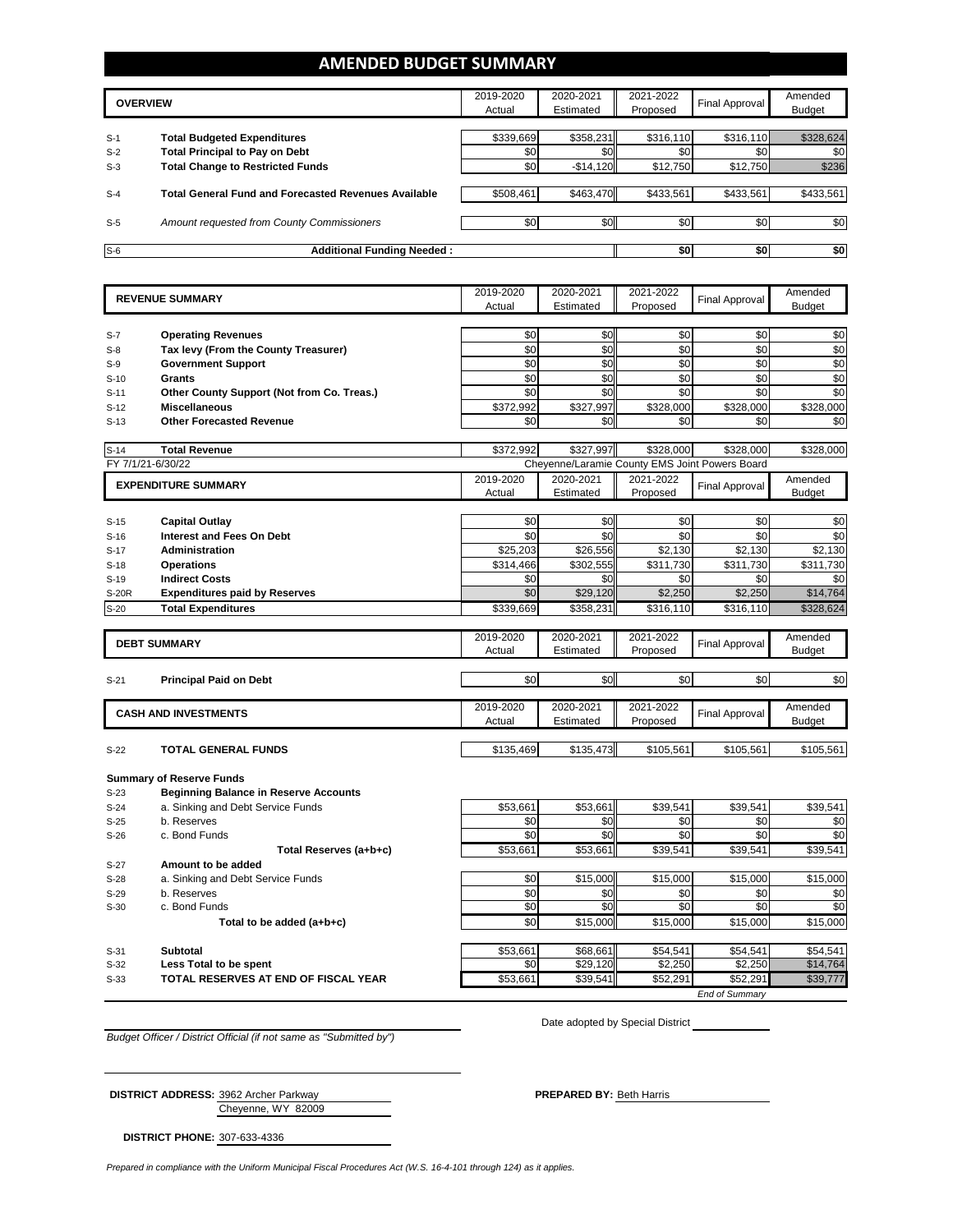## **AMENDED BUDGET SUMMARY**

|                | <b>OVERVIEW</b>                                                             | 2019-2020<br>Actual | 2020-2021<br>Estimated | 2021-2022<br>Proposed | Final Approval   | Amended<br>Budget |
|----------------|-----------------------------------------------------------------------------|---------------------|------------------------|-----------------------|------------------|-------------------|
|                |                                                                             |                     |                        |                       |                  |                   |
| $S-1$<br>$S-2$ | <b>Total Budgeted Expenditures</b><br><b>Total Principal to Pay on Debt</b> | \$339,669<br>\$0    | \$358,231<br>\$0       | \$316,110<br>\$0      | \$316,110<br>\$0 | \$328,624<br>\$0  |
| $S-3$          | <b>Total Change to Restricted Funds</b>                                     | \$0                 | $-$14,120$             | \$12,750              | \$12,750         | \$236             |
| $S-4$          | <b>Total General Fund and Forecasted Revenues Available</b>                 | \$508,461           | \$463,470              | \$433,561             | \$433,561        | \$433,561         |
| $S-5$          | <b>Amount requested from County Commissioners</b>                           | \$0                 | \$0                    | \$0                   | \$0              | \$0               |
| $S-6$          | <b>Additional Funding Needed:</b>                                           |                     |                        | \$0                   | \$0              | \$0               |

|                   | <b>REVENUE SUMMARY</b>                                             | 2019-2020             | 2020-2021                                      | 2021-2022           | Final Approval        | Amended                                                                                                         |
|-------------------|--------------------------------------------------------------------|-----------------------|------------------------------------------------|---------------------|-----------------------|-----------------------------------------------------------------------------------------------------------------|
|                   |                                                                    | Actual                | Estimated                                      | Proposed            |                       | <b>Budget</b>                                                                                                   |
|                   |                                                                    | \$0                   | \$0                                            | \$0                 | \$0                   |                                                                                                                 |
| $S-7$             | <b>Operating Revenues</b><br>Tax levy (From the County Treasurer)  | \$0                   | \$0                                            | \$0                 | \$0                   | \$0<br>\$0                                                                                                      |
| $S-8$<br>$S-9$    | <b>Government Support</b>                                          | \$0                   | \$0                                            | \$0                 | \$0                   | \$0                                                                                                             |
|                   | <b>Grants</b>                                                      | $\sqrt{6}$            | $\sqrt{6}$                                     | $\sqrt{6}$          | $\frac{6}{5}$         | \$0                                                                                                             |
| $S-10$            |                                                                    | \$0                   | \$0                                            | \$0                 | \$0                   | $\frac{6}{5}$                                                                                                   |
| $S-11$            | Other County Support (Not from Co. Treas.)<br><b>Miscellaneous</b> |                       |                                                |                     |                       |                                                                                                                 |
| $S-12$            | <b>Other Forecasted Revenue</b>                                    | \$372,992<br>\$0      | \$327,997                                      | \$328,000           | \$328,000             | \$328,000                                                                                                       |
| $S-13$            |                                                                    |                       | \$0                                            | \$0                 | \$0                   | \$0                                                                                                             |
| $S-14$            | <b>Total Revenue</b>                                               | \$372,992             | \$327,997                                      | \$328,000           | \$328,000             | \$328,000                                                                                                       |
| FY 7/1/21-6/30/22 |                                                                    |                       | Cheyenne/Laramie County EMS Joint Powers Board |                     |                       |                                                                                                                 |
|                   |                                                                    | 2019-2020             | 2020-2021                                      | 2021-2022           |                       | Amended                                                                                                         |
|                   | <b>EXPENDITURE SUMMARY</b>                                         | Actual                | Estimated                                      | Proposed            | <b>Final Approval</b> | <b>Budget</b>                                                                                                   |
|                   |                                                                    |                       |                                                |                     |                       |                                                                                                                 |
| $S-15$            | <b>Capital Outlay</b>                                              | \$0                   | \$0                                            | \$0                 | \$0                   | \$0                                                                                                             |
| $S-16$            | <b>Interest and Fees On Debt</b>                                   | \$0                   | \$0                                            | \$0                 | \$0                   | \$0                                                                                                             |
| $S-17$            | Administration                                                     | \$25,203              | \$26,556                                       | \$2,130             | \$2,130               | \$2,130                                                                                                         |
| $S-18$            | <b>Operations</b>                                                  | \$314,466             | \$302,555                                      | \$311,730           | \$311,730             | \$311,730                                                                                                       |
| $S-19$            | <b>Indirect Costs</b>                                              | \$0                   | \$0                                            | \$0                 | \$0                   | \$0                                                                                                             |
| S-20R             | <b>Expenditures paid by Reserves</b>                               | \$0                   | \$29,120                                       | \$2,250             | \$2,250               | \$14,764                                                                                                        |
| $S-20$            | <b>Total Expenditures</b>                                          | $\overline{$}339,669$ | \$358,231                                      | \$316,110           | \$316,110             | \$328,624                                                                                                       |
|                   |                                                                    |                       |                                                |                     |                       |                                                                                                                 |
|                   | <b>DEBT SUMMARY</b>                                                | 2019-2020             | 2020-2021                                      | 2021-2022           | Final Approval        | Amended                                                                                                         |
|                   |                                                                    | Actual                | Estimated                                      | Proposed            |                       | <b>Budget</b>                                                                                                   |
| $S-21$            | <b>Principal Paid on Debt</b>                                      | \$0                   | \$0                                            | \$0                 | \$0                   | \$0                                                                                                             |
|                   |                                                                    |                       |                                                |                     |                       |                                                                                                                 |
|                   |                                                                    | 2019-2020             | 2020-2021                                      | 2021-2022           |                       | Amended                                                                                                         |
|                   | <b>CASH AND INVESTMENTS</b>                                        | Actual                | Estimated                                      | Proposed            | Final Approval        | <b>Budget</b>                                                                                                   |
|                   |                                                                    |                       |                                                |                     |                       |                                                                                                                 |
| $S-22$            | <b>TOTAL GENERAL FUNDS</b>                                         | \$135,469             | \$135,473                                      | \$105,561           | \$105,561             | \$105,561                                                                                                       |
|                   |                                                                    |                       |                                                |                     |                       |                                                                                                                 |
|                   | <b>Summary of Reserve Funds</b>                                    |                       |                                                |                     |                       |                                                                                                                 |
|                   |                                                                    |                       |                                                |                     |                       |                                                                                                                 |
| $S-23$            | <b>Beginning Balance in Reserve Accounts</b>                       |                       |                                                |                     |                       |                                                                                                                 |
| S-24              | a. Sinking and Debt Service Funds                                  | \$53,661              | \$53,661                                       | \$39,541            | \$39,541              |                                                                                                                 |
| $S-25$            | b. Reserves                                                        | \$0                   | \$0                                            | \$0                 | \$0                   |                                                                                                                 |
| $S-26$            | c. Bond Funds                                                      | \$0                   | \$0                                            | \$0                 | \$0                   |                                                                                                                 |
|                   | Total Reserves (a+b+c)                                             | \$53,661              | \$53,661                                       | \$39,541            | \$39,541              |                                                                                                                 |
| $S-27$            | Amount to be added                                                 |                       |                                                |                     |                       |                                                                                                                 |
| $S-28$            | a. Sinking and Debt Service Funds                                  | \$0                   | \$15,000                                       | \$15,000            | \$15,000              |                                                                                                                 |
| $S-29$            | b. Reserves                                                        | \$0                   | \$0                                            | \$0                 | \$0                   |                                                                                                                 |
| $S-30$            | c. Bond Funds                                                      | $\frac{6}{3}$         | \$0                                            | \$0                 | $\overline{50}$       |                                                                                                                 |
|                   | Total to be added (a+b+c)                                          | \$0                   | \$15,000                                       | \$15,000            | \$15,000              |                                                                                                                 |
|                   |                                                                    |                       |                                                |                     |                       |                                                                                                                 |
| $S-31$<br>$S-32$  | <b>Subtotal</b>                                                    | \$53,661<br>\$0       | \$68,661                                       | \$54,541            | \$54,541              |                                                                                                                 |
| $S-33$            | Less Total to be spent<br>TOTAL RESERVES AT END OF FISCAL YEAR     | \$53,661              | \$29,120<br>\$39,541                           | \$2,250<br>\$52,291 | \$2,250<br>\$52,291   | \$39,541<br>$rac{$0}{$0}$<br>\$39,541<br>\$15,000<br>\$0<br>\$0<br>\$15,000<br>\$54,541<br>\$14,764<br>\$39,777 |

*Budget Officer / District Official (if not same as "Submitted by")*

Date adopted by Special District

Cheyenne, WY 82009 **DISTRICT ADDRESS:** 3962 Archer Parkway **PREPARED BY:** Beth Harris

**DISTRICT PHONE:** 307-633-4336

*Prepared in compliance with the Uniform Municipal Fiscal Procedures Act (W.S. 16-4-101 through 124) as it applies.*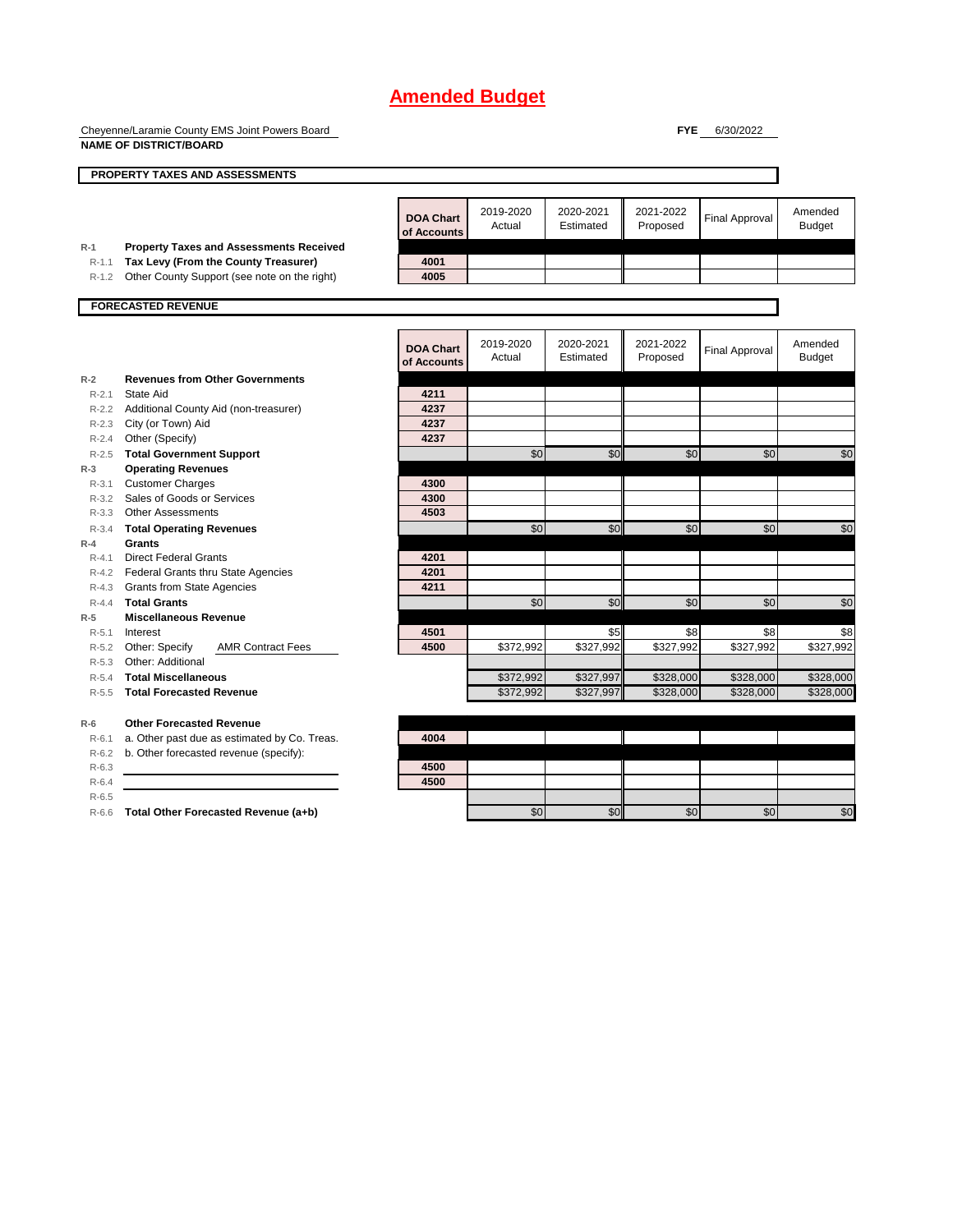Cheyenne/Laramie County EMS Joint Powers Board **NAME OF DISTRICT/BOARD**

**FYE** 6/30/2022

|           | PROPERTY TAXES AND ASSESSMENTS                 |                                 |                     |                        |                       |                       |                          |
|-----------|------------------------------------------------|---------------------------------|---------------------|------------------------|-----------------------|-----------------------|--------------------------|
|           |                                                | <b>DOA Chart</b><br>of Accounts | 2019-2020<br>Actual | 2020-2021<br>Estimated | 2021-2022<br>Proposed | <b>Final Approval</b> | Amended<br><b>Budget</b> |
| $R-1$     | <b>Property Taxes and Assessments Received</b> |                                 |                     |                        |                       |                       |                          |
| $R-1.1$   | Tax Levy (From the County Treasurer)           | 4001                            |                     |                        |                       |                       |                          |
| R-1.2     | Other County Support (see note on the right)   | 4005                            |                     |                        |                       |                       |                          |
|           | <b>FORECASTED REVENUE</b>                      |                                 |                     |                        |                       |                       |                          |
|           |                                                | <b>DOA Chart</b><br>of Accounts | 2019-2020<br>Actual | 2020-2021<br>Estimated | 2021-2022<br>Proposed | <b>Final Approval</b> | Amended<br><b>Budget</b> |
| $R-2$     | <b>Revenues from Other Governments</b>         |                                 |                     |                        |                       |                       |                          |
| $R - 2.1$ | State Aid                                      | 4211                            |                     |                        |                       |                       |                          |
| $R-2.2$   | Additional County Aid (non-treasurer)          | 4237                            |                     |                        |                       |                       |                          |
| $R-2.3$   | City (or Town) Aid                             | 4237                            |                     |                        |                       |                       |                          |
| $R - 2.4$ | Other (Specify)                                | 4237                            |                     |                        |                       |                       |                          |
| $R-2.5$   | <b>Total Government Support</b>                |                                 | \$0                 | \$0                    | \$0                   | \$0                   | \$C                      |
| $R-3$     | <b>Operating Revenues</b>                      |                                 |                     |                        |                       |                       |                          |
| $R - 3.1$ | <b>Customer Charges</b>                        | 4300                            |                     |                        |                       |                       |                          |
| $R - 3.2$ | Sales of Goods or Services                     | 4300                            |                     |                        |                       |                       |                          |
| $R - 3.3$ | <b>Other Assessments</b>                       | 4503                            |                     |                        |                       |                       |                          |
| $R - 3.4$ | <b>Total Operating Revenues</b>                |                                 | \$0                 | \$0                    | \$0                   | \$0                   | \$C                      |
| $R - 4$   | <b>Grants</b>                                  |                                 |                     |                        |                       |                       |                          |
| $R - 4.1$ | <b>Direct Federal Grants</b>                   | 4201                            |                     |                        |                       |                       |                          |
| $R - 4.2$ | Federal Grants thru State Agencies             | 4201                            |                     |                        |                       |                       |                          |
| $R-4.3$   | <b>Grants from State Agencies</b>              | 4211                            |                     |                        |                       |                       |                          |
| $R - 4.4$ | <b>Total Grants</b>                            |                                 | \$0                 | \$0                    | \$0                   | \$0                   | \$C                      |
| $R-5$     | <b>Miscellaneous Revenue</b>                   |                                 |                     |                        |                       |                       |                          |
| $R - 5.1$ | Interest                                       | 4501                            |                     | \$5                    | \$8                   | \$8                   | \$8                      |
| $R - 5.2$ | Other: Specify<br><b>AMR Contract Fees</b>     | 4500                            | \$372,992           | \$327,992              | \$327,992             | \$327,992             | \$327,992                |
| $R - 5.3$ | Other: Additional                              |                                 |                     |                        |                       |                       |                          |
|           | R-5.4 Total Miscellaneous                      |                                 | \$372,992           | \$327,997              | \$328,000             | \$328,000             | \$328,000                |
| $R - 5.5$ | <b>Total Forecasted Revenue</b>                |                                 | \$372,992           | \$327,997              | \$328,000             | \$328,000             | \$328,000                |
| $R-6$     | <b>Other Forecasted Revenue</b>                |                                 |                     |                        |                       |                       |                          |
| $R-6.1$   | a. Other past due as estimated by Co. Treas.   | 4004                            |                     |                        |                       |                       |                          |
| $R-6.2$   | b. Other forecasted revenue (specify):         |                                 |                     |                        |                       |                       |                          |
| $R-6.3$   |                                                | 4500                            |                     |                        |                       |                       |                          |

R-6.4 **4500**

R-6.5

R-6.6 **Total Other Forecasted Revenue (a+b)** \$0 \$0 \$0 \$0 \$0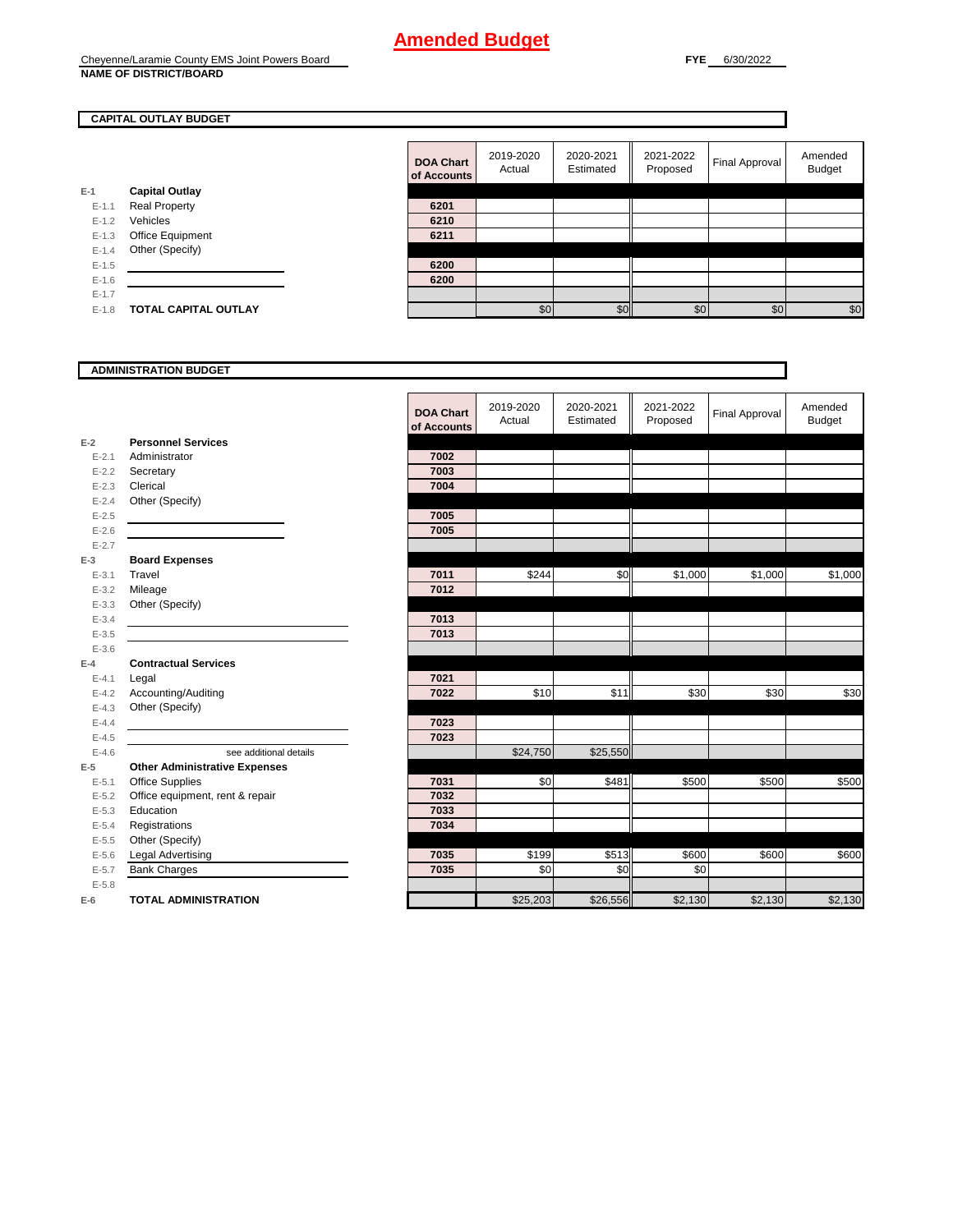### **CAPITAL OUTLAY BUDGET**

**E-1**

|         |                             | <b>DOA Chart</b><br>of Accounts | 2019-2020<br>Actual | 2020-2021<br>Estimated | 2021-2022<br>Proposed | <b>Final Approval</b> | Amended<br><b>Budget</b> |
|---------|-----------------------------|---------------------------------|---------------------|------------------------|-----------------------|-----------------------|--------------------------|
| $-1$    | <b>Capital Outlay</b>       |                                 |                     |                        |                       |                       |                          |
| $E-1.1$ | <b>Real Property</b>        | 6201                            |                     |                        |                       |                       |                          |
| $E-1.2$ | Vehicles                    | 6210                            |                     |                        |                       |                       |                          |
| $E-1.3$ | Office Equipment            | 6211                            |                     |                        |                       |                       |                          |
| $E-1.4$ | Other (Specify)             |                                 |                     |                        |                       |                       |                          |
| $E-1.5$ |                             | 6200                            |                     |                        |                       |                       |                          |
| $E-1.6$ |                             | 6200                            |                     |                        |                       |                       |                          |
| $E-1.7$ |                             |                                 |                     |                        |                       |                       |                          |
| $E-1.8$ | <b>TOTAL CAPITAL OUTLAY</b> |                                 | \$0                 | \$0                    | \$0                   | \$0                   | \$C                      |

#### **ADMINISTRATION BUDGET**

#### **E-2** E-2.1 Administrator E-2.2 **Secretary** E-2.3 **Clerical** E-2.4 Other (Specify) E-2.5 **7005** E-2.6 **7005** E-2.7 **E-3** E-3.2 Mileage E-3.3 Other (Specify) E-3.4 **7013** E-3.5 **7013** E-3.6 **E-4** E-4.1 **Legal** E-4.2 Accounting/Auditing E-4.3 Other (Specify) E-4.4 **7023** E-4.5 **7023 E-5 Other Administrative Expenses Personnel Services Board Expenses Contractual Services**

| $E - 5.1$ | <b>Office Supplies</b>          | 7031 |
|-----------|---------------------------------|------|
| $E - 5.2$ | Office equipment, rent & repair | 7032 |
| $E - 5.3$ | Education                       | 7033 |
| $E - 5.4$ | Registrations                   | 7034 |
| $E-5.5$   | Other (Specify)                 |      |
| $E - 5.6$ | Legal Advertising               | 7035 |
| $E - 5.7$ | <b>Bank Charges</b>             | 7035 |
| $E - 5.8$ |                                 |      |
| $E-6$     | <b>TOTAL ADMINISTRATION</b>     |      |

|                | ADMINISTRATION BUDGET                |                                 |                     |                        |                       |                |                          |
|----------------|--------------------------------------|---------------------------------|---------------------|------------------------|-----------------------|----------------|--------------------------|
|                |                                      | <b>DOA Chart</b><br>of Accounts | 2019-2020<br>Actual | 2020-2021<br>Estimated | 2021-2022<br>Proposed | Final Approval | Amended<br><b>Budget</b> |
| 2              | <b>Personnel Services</b>            |                                 |                     |                        |                       |                |                          |
| $E - 2.1$      | Administrator                        | 7002                            |                     |                        |                       |                |                          |
| $E - 2.2$      | Secretary                            | 7003                            |                     |                        |                       |                |                          |
| $E - 2.3$      | Clerical                             | 7004                            |                     |                        |                       |                |                          |
| $E - 2.4$      | Other (Specify)                      |                                 |                     |                        |                       |                |                          |
| $E-2.5$        |                                      | 7005                            |                     |                        |                       |                |                          |
| $E - 2.6$      |                                      | 7005                            |                     |                        |                       |                |                          |
| $E - 2.7$<br>3 | <b>Board Expenses</b>                |                                 |                     |                        |                       |                |                          |
| $E - 3.1$      | Travel                               | 7011                            | \$244               | \$0                    | \$1,000               | \$1,000        | \$1,000                  |
| $E - 3.2$      | Mileage                              | 7012                            |                     |                        |                       |                |                          |
| $E - 3.3$      | Other (Specify)                      |                                 |                     |                        |                       |                |                          |
| $E - 3.4$      |                                      | 7013                            |                     |                        |                       |                |                          |
| $E - 3.5$      |                                      | 7013                            |                     |                        |                       |                |                          |
| $E - 3.6$      |                                      |                                 |                     |                        |                       |                |                          |
| 4              | <b>Contractual Services</b>          |                                 |                     |                        |                       |                |                          |
| $E - 4.1$      | Legal                                | 7021                            |                     |                        |                       |                |                          |
| $E - 4.2$      | Accounting/Auditing                  | 7022                            | \$10                | \$11                   | \$30                  | \$30           | \$30                     |
| $E - 4.3$      | Other (Specify)                      |                                 |                     |                        |                       |                |                          |
| $E - 4.4$      |                                      | 7023                            |                     |                        |                       |                |                          |
| $E - 4.5$      |                                      | 7023                            |                     |                        |                       |                |                          |
| $E - 4.6$      | see additional details               |                                 | \$24,750            | \$25,550               |                       |                |                          |
| 5              | <b>Other Administrative Expenses</b> |                                 |                     |                        |                       |                |                          |
| $E - 5.1$      | <b>Office Supplies</b>               | 7031                            | \$0                 | \$481                  | \$500                 | \$500          | \$500                    |
| $E - 5.2$      | Office equipment, rent & repair      | 7032                            |                     |                        |                       |                |                          |
| $E - 5.3$      | Education                            | 7033                            |                     |                        |                       |                |                          |
| $E - 5.4$      | Registrations                        | 7034                            |                     |                        |                       |                |                          |
| $E - 5.5$      | Other (Specify)                      |                                 |                     |                        |                       |                |                          |
| $E - 5.6$      | Legal Advertising                    | 7035                            | \$199               | \$513                  | \$600                 | \$600          | \$600                    |
| $E - 5.7$      | <b>Bank Charges</b>                  | 7035                            | \$0                 | \$0                    | \$0                   |                |                          |
| $E - 5.8$<br>ŝ | <b>TOTAL ADMINISTRATION</b>          |                                 | \$25,203            | \$26,556               | \$2,130               | \$2,130        | \$2,130                  |
|                |                                      |                                 |                     |                        |                       |                |                          |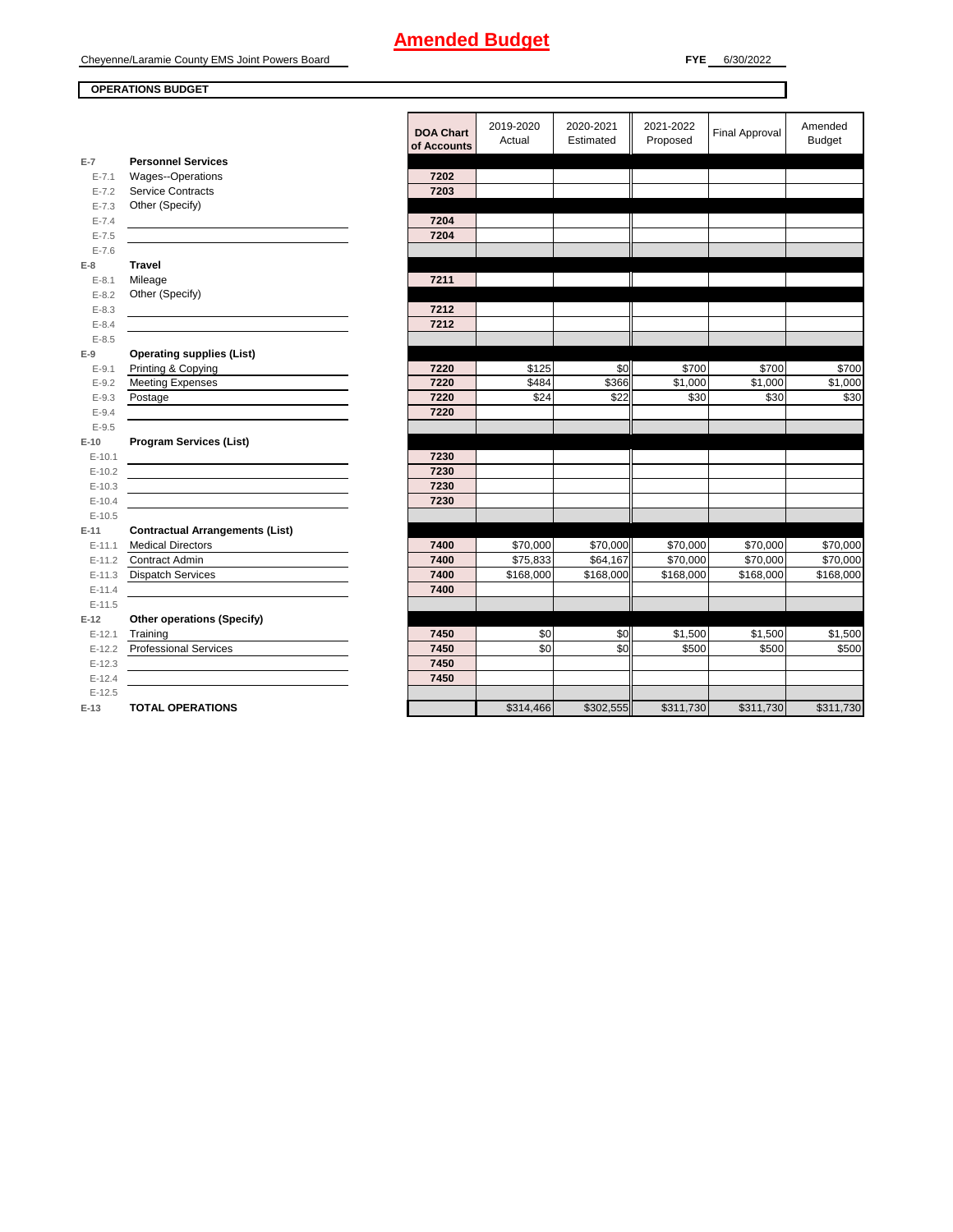**OPERATIONS BUDGET**

٦

|            |                                        | DOA Ch   |
|------------|----------------------------------------|----------|
|            |                                        | of Accou |
| $E-7$      | <b>Personnel Services</b>              |          |
| $E - 7.1$  | Wages--Operations                      | 7202     |
| $E - 7.2$  | <b>Service Contracts</b>               | 7203     |
| $E - 7.3$  | Other (Specify)                        |          |
| $E - 7.4$  |                                        | 7204     |
| $E - 7.5$  |                                        | 7204     |
| $E - 7.6$  |                                        |          |
| $E-8$      | Travel                                 |          |
| $E - 8.1$  | Mileage                                | 7211     |
| $E - 8.2$  | Other (Specify)                        |          |
| $E - 8.3$  |                                        | 7212     |
| $E - 8.4$  |                                        | 7212     |
| $E - 8.5$  |                                        |          |
| $E-9$      | <b>Operating supplies (List)</b>       |          |
| $E-9.1$    | Printing & Copying                     | 7220     |
| $E-9.2$    | <b>Meeting Expenses</b>                | 7220     |
| $E - 9.3$  | Postage                                | 7220     |
| $E - 9.4$  |                                        | 7220     |
| $E - 9.5$  |                                        |          |
| $E-10$     | <b>Program Services (List)</b>         |          |
| $E-10.1$   |                                        | 7230     |
| $E-10.2$   |                                        | 7230     |
| $E-10.3$   |                                        | 7230     |
| $E-10.4$   |                                        | 7230     |
| $E-10.5$   |                                        |          |
| $E-11$     | <b>Contractual Arrangements (List)</b> |          |
| $E-11.1$   | <b>Medical Directors</b>               | 7400     |
| $E-11.2$   | <b>Contract Admin</b>                  | 7400     |
| $E-11.3$   | <b>Dispatch Services</b>               | 7400     |
| $E - 11.4$ |                                        | 7400     |
| $E-11.5$   |                                        |          |
| $E-12$     | <b>Other operations (Specify)</b>      |          |
| $E-12.1$   | Training                               | 7450     |
| $E-12.2$   | <b>Professional Services</b>           | 7450     |
| $E-12.3$   |                                        | 7450     |
| $E-12.4$   |                                        | 7450     |
| $E-12.5$   |                                        |          |
| $E-13$     | <b>TOTAL OPERATIONS</b>                |          |

| $\overline{7}$ | <b>Personnel Services</b>              | <b>DOA Chart</b><br>of Accounts | 2019-2020 | 2020-2021 | 2021-2022 |                       | Amended       |
|----------------|----------------------------------------|---------------------------------|-----------|-----------|-----------|-----------------------|---------------|
|                |                                        |                                 | Actual    | Estimated | Proposed  | <b>Final Approval</b> | <b>Budget</b> |
|                |                                        |                                 |           |           |           |                       |               |
| $E - 7.1$      | Wages--Operations                      | 7202                            |           |           |           |                       |               |
| $E - 7.2$      | <b>Service Contracts</b>               | 7203                            |           |           |           |                       |               |
| $E - 7.3$      | Other (Specify)                        |                                 |           |           |           |                       |               |
| $E - 7.4$      |                                        | 7204                            |           |           |           |                       |               |
| $E - 7.5$      |                                        | 7204                            |           |           |           |                       |               |
| $E - 7.6$      |                                        |                                 |           |           |           |                       |               |
| 8              | <b>Travel</b>                          |                                 |           |           |           |                       |               |
| $E - 8.1$      | Mileage                                | 7211                            |           |           |           |                       |               |
| $E-8.2$        | Other (Specify)                        |                                 |           |           |           |                       |               |
| $E-8.3$        |                                        | 7212                            |           |           |           |                       |               |
| $E-8.4$        |                                        | 7212                            |           |           |           |                       |               |
| $E-8.5$        |                                        |                                 |           |           |           |                       |               |
| 9              | <b>Operating supplies (List)</b>       |                                 |           |           |           |                       |               |
| $E - 9.1$      | Printing & Copying                     | 7220                            | \$125     | \$0       | \$700     | \$700                 | \$700         |
| $E-9.2$        | <b>Meeting Expenses</b>                | 7220                            | \$484     | \$366     | \$1,000   | \$1,000               | \$1,000       |
| $E-9.3$        | Postage                                | 7220                            | \$24      | \$22      | \$30      | \$30                  | \$30          |
| $E - 9.4$      |                                        | 7220                            |           |           |           |                       |               |
| $E-9.5$        |                                        |                                 |           |           |           |                       |               |
| 10             | <b>Program Services (List)</b>         |                                 |           |           |           |                       |               |
| $E-10.1$       |                                        | 7230                            |           |           |           |                       |               |
| $E-10.2$       |                                        | 7230                            |           |           |           |                       |               |
| $E-10.3$       |                                        | 7230                            |           |           |           |                       |               |
| $E-10.4$       |                                        | 7230                            |           |           |           |                       |               |
| $E-10.5$       |                                        |                                 |           |           |           |                       |               |
| 11             | <b>Contractual Arrangements (List)</b> |                                 |           |           |           |                       |               |
| $E-11.1$       | <b>Medical Directors</b>               | 7400                            | \$70,000  | \$70,000  | \$70,000  | \$70,000              | \$70,000      |
| $E-11.2$       | <b>Contract Admin</b>                  | 7400                            | \$75,833  | \$64,167  | \$70,000  | \$70,000              | \$70,000      |
| $E-11.3$       | <b>Dispatch Services</b>               | 7400                            | \$168,000 | \$168,000 | \$168,000 | \$168,000             | \$168,000     |
| $E-11.4$       |                                        | 7400                            |           |           |           |                       |               |
| $E-11.5$       |                                        |                                 |           |           |           |                       |               |
| 12             | <b>Other operations (Specify)</b>      |                                 |           |           |           |                       |               |
| $E-12.1$       | Training                               | 7450                            | \$0       | \$0       | \$1,500   | \$1,500               | \$1,500       |
| $E-12.2$       | <b>Professional Services</b>           | 7450                            | \$0       | \$0       | \$500     | \$500                 | \$500         |
| $E-12.3$       |                                        | 7450                            |           |           |           |                       |               |
| $E-12.4$       |                                        | 7450                            |           |           |           |                       |               |
| $E-12.5$       |                                        |                                 |           |           |           |                       |               |
| 13             | <b>TOTAL OPERATIONS</b>                |                                 | \$314,466 | \$302,555 | \$311,730 | \$311,730             | \$311,730     |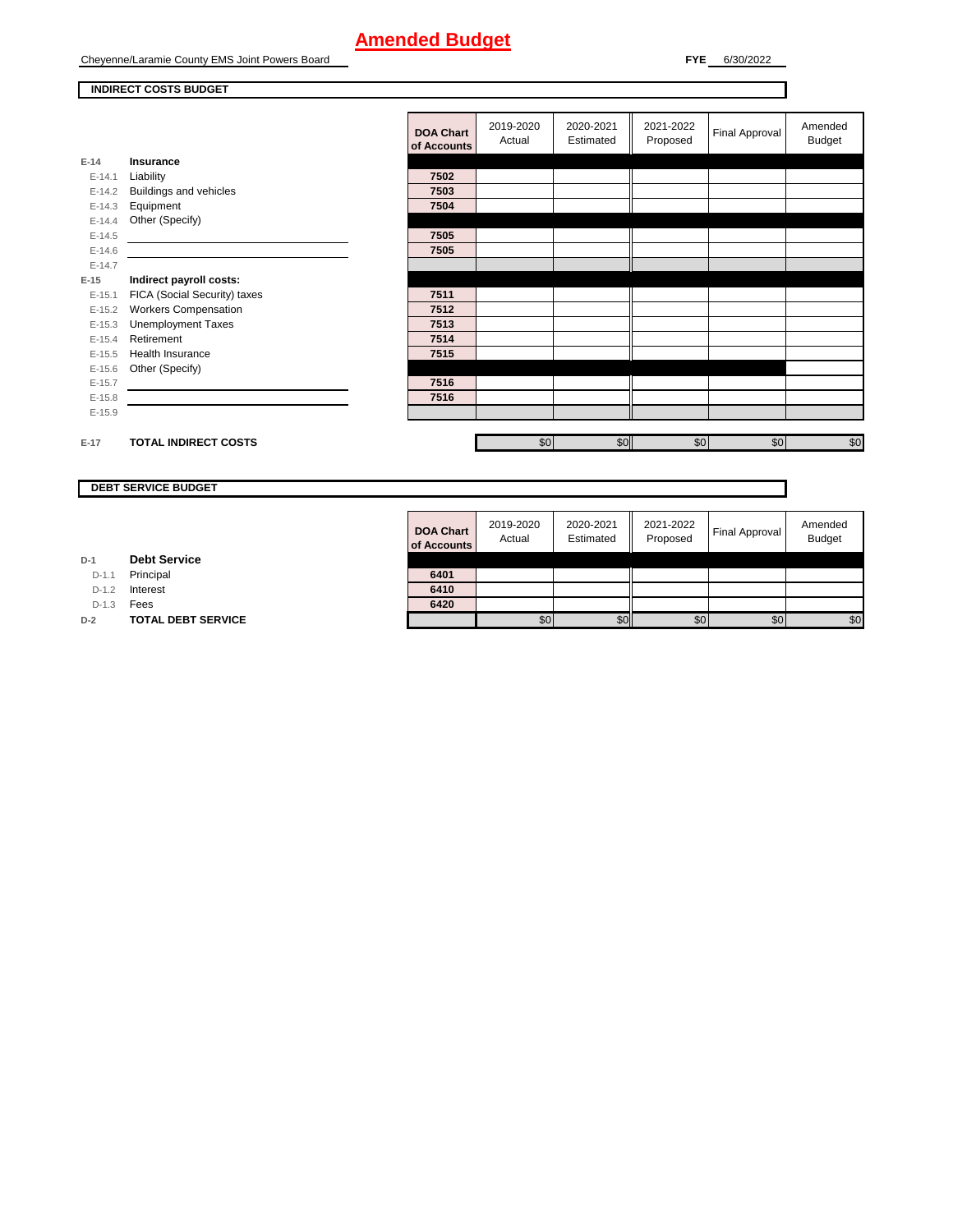Cheyenne/Laramie County EMS Joint Powers Board

**FYE** 6/30/2022

### **INDIRECT COSTS BUDGET**

|          |                              | of Accou |
|----------|------------------------------|----------|
| $E-14$   | <b>Insurance</b>             |          |
| E-14.1   | Liability                    | 7502     |
| $E-14.2$ | Buildings and vehicles       | 7503     |
| $E-14.3$ | Equipment                    | 7504     |
| $E-14.4$ | Other (Specify)              |          |
| $E-14.5$ |                              | 7505     |
| $E-14.6$ |                              | 7505     |
| $E-14.7$ |                              |          |
| $E-15$   | Indirect payroll costs:      |          |
| $E-15.1$ | FICA (Social Security) taxes | 7511     |
| $E-15.2$ | <b>Workers Compensation</b>  | 7512     |
| $E-15.3$ | <b>Unemployment Taxes</b>    | 7513     |
| $E-15.4$ | Retirement                   | 7514     |
| $E-15.5$ | <b>Health Insurance</b>      | 7515     |
| $E-15.6$ | Other (Specify)              |          |
| $E-15.7$ |                              | 7516     |
| $E-15.8$ |                              | 7516     |
| $E-15.9$ |                              |          |
|          |                              |          |

| <b>DOA Chart</b><br>of Accounts | 2019-2020<br>Actual | 2020-2021<br>Estimated | 2021-2022<br>Proposed | <b>Final Approval</b> | Amended<br><b>Budget</b> |
|---------------------------------|---------------------|------------------------|-----------------------|-----------------------|--------------------------|
|                                 |                     |                        |                       |                       |                          |
| 7502                            |                     |                        |                       |                       |                          |
| 7503                            |                     |                        |                       |                       |                          |
| 7504                            |                     |                        |                       |                       |                          |
|                                 |                     |                        |                       |                       |                          |
| 7505                            |                     |                        |                       |                       |                          |
| 7505                            |                     |                        |                       |                       |                          |
|                                 |                     |                        |                       |                       |                          |
|                                 |                     |                        |                       |                       |                          |
| 7511                            |                     |                        |                       |                       |                          |
| 7512                            |                     |                        |                       |                       |                          |
| 7513                            |                     |                        |                       |                       |                          |
| 7514                            |                     |                        |                       |                       |                          |
| 7515                            |                     |                        |                       |                       |                          |
|                                 |                     |                        |                       |                       |                          |
| 7516                            |                     |                        |                       |                       |                          |
| 7516                            |                     |                        |                       |                       |                          |
|                                 |                     |                        |                       |                       |                          |
|                                 |                     |                        |                       |                       |                          |
|                                 | \$0                 | \$0                    | $\frac{6}{3}$         | $\frac{6}{3}$         | \$0                      |

**DEBT SERVICE BUDGET**

**E-17 TOTAL INDIRECT COSTS** 

| <b>DOA Chart</b><br>of Accounts | 2019-2020<br>Actual | 2020-2021<br>Estimated | 2021-2022<br>Proposed | <b>Final Approval</b> | Amended<br><b>Budget</b> |
|---------------------------------|---------------------|------------------------|-----------------------|-----------------------|--------------------------|
|                                 |                     |                        |                       |                       |                          |
| 6401                            |                     |                        |                       |                       |                          |
| 6410                            |                     |                        |                       |                       |                          |
| 6420                            |                     |                        |                       |                       |                          |
|                                 |                     | \$በ                    | \$С                   | \$0                   | \$0                      |

**D-1 Debt Service**

D-1.1 Principal

D-1.2 **Interest** 

D-1.3 **Fees** 

**D-2 TOTAL DEBT SERVICE**